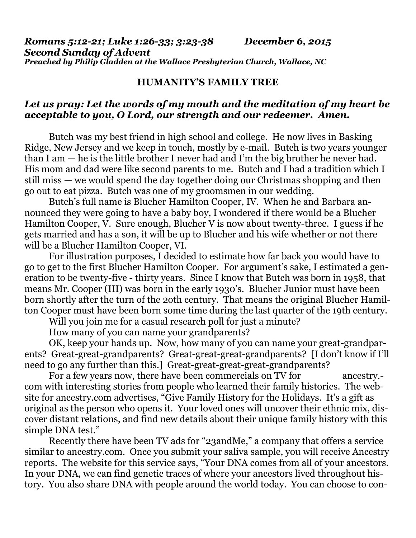*Romans 5:12-21; Luke 1:26-33; 3:23-38 December 6, 2015 Second Sunday of Advent Preached by Philip Gladden at the Wallace Presbyterian Church, Wallace, NC* 

## **HUMANITY'S FAMILY TREE**

## *Let us pray: Let the words of my mouth and the meditation of my heart be acceptable to you, O Lord, our strength and our redeemer. Amen.*

Butch was my best friend in high school and college. He now lives in Basking Ridge, New Jersey and we keep in touch, mostly by e-mail. Butch is two years younger than I am — he is the little brother I never had and I'm the big brother he never had. His mom and dad were like second parents to me. Butch and I had a tradition which I still miss — we would spend the day together doing our Christmas shopping and then go out to eat pizza. Butch was one of my groomsmen in our wedding.

 Butch's full name is Blucher Hamilton Cooper, IV. When he and Barbara announced they were going to have a baby boy, I wondered if there would be a Blucher Hamilton Cooper, V. Sure enough, Blucher V is now about twenty-three. I guess if he gets married and has a son, it will be up to Blucher and his wife whether or not there will be a Blucher Hamilton Cooper, VI.

 For illustration purposes, I decided to estimate how far back you would have to go to get to the first Blucher Hamilton Cooper. For argument's sake, I estimated a generation to be twenty-five - thirty years. Since I know that Butch was born in 1958, that means Mr. Cooper (III) was born in the early 1930's. Blucher Junior must have been born shortly after the turn of the 2oth century. That means the original Blucher Hamilton Cooper must have been born some time during the last quarter of the 19th century.

Will you join me for a casual research poll for just a minute?

How many of you can name your grandparents?

 OK, keep your hands up. Now, how many of you can name your great-grandparents? Great-great-grandparents? Great-great-great-grandparents? [I don't know if I'll need to go any further than this.] Great-great-great-great-grandparents?

For a few years now, there have been commercials on TV for ancestry.com with interesting stories from people who learned their family histories. The website for [ancestry.com](http://ancestry.com) advertises, "Give Family History for the Holidays. It's a gift as original as the person who opens it. Your loved ones will uncover their ethnic mix, discover distant relations, and find new details about their unique family history with this simple DNA test."

 Recently there have been TV ads for "23andMe," a company that offers a service similar to [ancestry.com](http://ancestry.com). Once you submit your saliva sample, you will receive Ancestry reports. The website for this service says, "Your DNA comes from all of your ancestors. In your DNA, we can find genetic traces of where your ancestors lived throughout history. You also share DNA with people around the world today. You can choose to con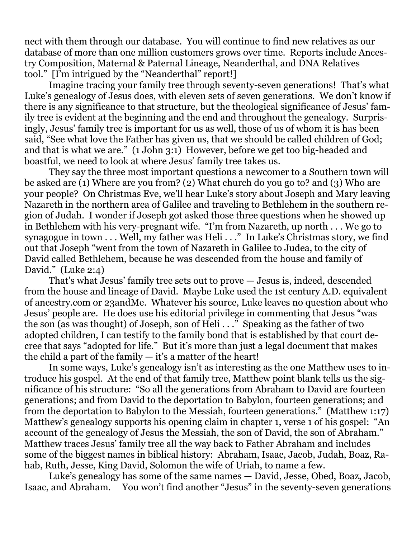nect with them through our database. You will continue to find new relatives as our database of more than one million customers grows over time. Reports include Ancestry Composition, Maternal & Paternal Lineage, Neanderthal, and DNA Relatives tool." [I'm intrigued by the "Neanderthal" report!]

 Imagine tracing your family tree through seventy-seven generations! That's what Luke's genealogy of Jesus does, with eleven sets of seven generations. We don't know if there is any significance to that structure, but the theological significance of Jesus' family tree is evident at the beginning and the end and throughout the genealogy. Surprisingly, Jesus' family tree is important for us as well, those of us of whom it is has been said, "See what love the Father has given us, that we should be called children of God; and that is what we are." (1 John 3:1) However, before we get too big-headed and boastful, we need to look at where Jesus' family tree takes us.

 They say the three most important questions a newcomer to a Southern town will be asked are (1) Where are you from? (2) What church do you go to? and (3) Who are your people? On Christmas Eve, we'll hear Luke's story about Joseph and Mary leaving Nazareth in the northern area of Galilee and traveling to Bethlehem in the southern region of Judah. I wonder if Joseph got asked those three questions when he showed up in Bethlehem with his very-pregnant wife. "I'm from Nazareth, up north . . . We go to synagogue in town . . . Well, my father was Heli . . ." In Luke's Christmas story, we find out that Joseph "went from the town of Nazareth in Galilee to Judea, to the city of David called Bethlehem, because he was descended from the house and family of David." (Luke 2:4)

 That's what Jesus' family tree sets out to prove — Jesus is, indeed, descended from the house and lineage of David. Maybe Luke used the 1st century A.D. equivalent of [ancestry.com](http://ancestry.com) or 23andMe. Whatever his source, Luke leaves no question about who Jesus' people are. He does use his editorial privilege in commenting that Jesus "was the son (as was thought) of Joseph, son of Heli . . ." Speaking as the father of two adopted children, I can testify to the family bond that is established by that court decree that says "adopted for life." But it's more than just a legal document that makes the child a part of the family  $-$  it's a matter of the heart!

 In some ways, Luke's genealogy isn't as interesting as the one Matthew uses to introduce his gospel. At the end of that family tree, Matthew point blank tells us the significance of his structure: "So all the generations from Abraham to David are fourteen generations; and from David to the deportation to Babylon, fourteen generations; and from the deportation to Babylon to the Messiah, fourteen generations." (Matthew 1:17) Matthew's genealogy supports his opening claim in chapter 1, verse 1 of his gospel: "An account of the genealogy of Jesus the Messiah, the son of David, the son of Abraham." Matthew traces Jesus' family tree all the way back to Father Abraham and includes some of the biggest names in biblical history: Abraham, Isaac, Jacob, Judah, Boaz, Rahab, Ruth, Jesse, King David, Solomon the wife of Uriah, to name a few.

 Luke's genealogy has some of the same names — David, Jesse, Obed, Boaz, Jacob, Isaac, and Abraham. You won't find another "Jesus" in the seventy-seven generations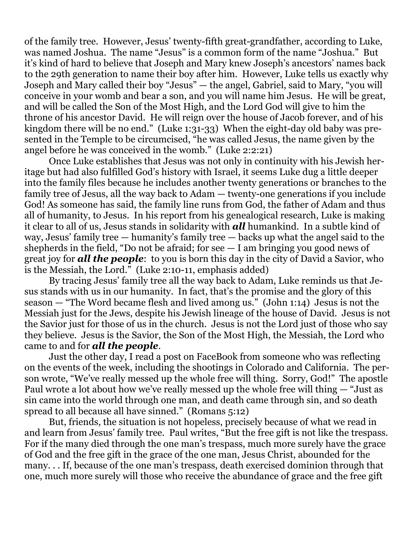of the family tree. However, Jesus' twenty-fifth great-grandfather, according to Luke, was named Joshua. The name "Jesus" is a common form of the name "Joshua." But it's kind of hard to believe that Joseph and Mary knew Joseph's ancestors' names back to the 29th generation to name their boy after him. However, Luke tells us exactly why Joseph and Mary called their boy "Jesus" — the angel, Gabriel, said to Mary, "you will conceive in your womb and bear a son, and you will name him Jesus. He will be great, and will be called the Son of the Most High, and the Lord God will give to him the throne of his ancestor David. He will reign over the house of Jacob forever, and of his kingdom there will be no end." (Luke 1:31-33) When the eight-day old baby was presented in the Temple to be circumcised, "he was called Jesus, the name given by the angel before he was conceived in the womb." (Luke 2:2:21)

 Once Luke establishes that Jesus was not only in continuity with his Jewish heritage but had also fulfilled God's history with Israel, it seems Luke dug a little deeper into the family files because he includes another twenty generations or branches to the family tree of Jesus, all the way back to Adam — twenty-one generations if you include God! As someone has said, the family line runs from God, the father of Adam and thus all of humanity, to Jesus. In his report from his genealogical research, Luke is making it clear to all of us, Jesus stands in solidarity with *all* humankind. In a subtle kind of way, Jesus' family tree — humanity's family tree — backs up what the angel said to the shepherds in the field, "Do not be afraid; for see  $-1$  am bringing you good news of great joy for *all the people*: to you is born this day in the city of David a Savior, who is the Messiah, the Lord." (Luke 2:10-11, emphasis added)

 By tracing Jesus' family tree all the way back to Adam, Luke reminds us that Jesus stands with us in our humanity. In fact, that's the promise and the glory of this season — "The Word became flesh and lived among us." (John 1:14) Jesus is not the Messiah just for the Jews, despite his Jewish lineage of the house of David. Jesus is not the Savior just for those of us in the church. Jesus is not the Lord just of those who say they believe. Jesus is the Savior, the Son of the Most High, the Messiah, the Lord who came to and for *all the people*.

 Just the other day, I read a post on FaceBook from someone who was reflecting on the events of the week, including the shootings in Colorado and California. The person wrote, "We've really messed up the whole free will thing. Sorry, God!" The apostle Paul wrote a lot about how we've really messed up the whole free will thing — "Just as sin came into the world through one man, and death came through sin, and so death spread to all because all have sinned." (Romans 5:12)

 But, friends, the situation is not hopeless, precisely because of what we read in and learn from Jesus' family tree. Paul writes, "But the free gift is not like the trespass. For if the many died through the one man's trespass, much more surely have the grace of God and the free gift in the grace of the one man, Jesus Christ, abounded for the many. . . If, because of the one man's trespass, death exercised dominion through that one, much more surely will those who receive the abundance of grace and the free gift